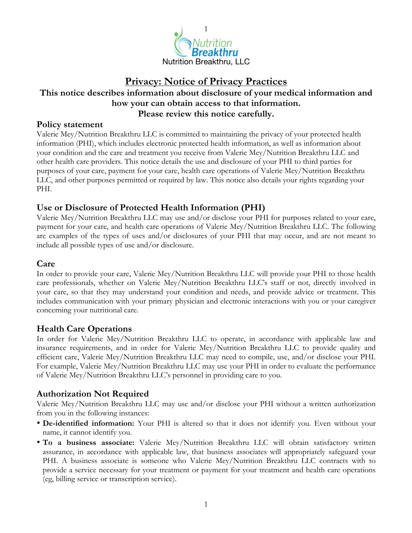

# **Privacy: Notice of Privacy Practices This notice describes information about disclosure of your medical information and how your can obtain access to that information. Please review this notice carefully.**

#### **Policy statement**

Valerie Mey/Nutrition Breakthru LLC is committed to maintaining the privacy of your protected health information (PHI), which includes electronic protected health information, as well as information about your condition and the care and treatment you receive from Valerie Mey/Nutrition Breakthru LLC and other health care providers. This notice details the use and disclosure of your PHI to third parties for purposes of your care, payment for your care, health care operations of Valerie Mey/Nutrition Breakthru LLC, and other purposes permitted or required by law. This notice also details your rights regarding your PHI.

## **Use or Disclosure of Protected Health Information (PHI)**

Valerie Mey/Nutrition Breakthru LLC may use and/or disclose your PHI for purposes related to your care, payment for your care, and health care operations of Valerie Mey/Nutrition Breakthru LLC. The following are examples of the types of uses and/or disclosures of your PHI that may occur, and are not meant to include all possible types of use and/or disclosure.

## **Care**

In order to provide your care, Valerie Mey/Nutrition Breakthru LLC will provide your PHI to those health care professionals, whether on Valerie Mey/Nutrition Breakthru LLC's staff or not, directly involved in your care, so that they may understand your condition and needs, and provide advice or treatment. This includes communication with your primary physician and electronic interactions with you or your caregiver concerning your nutritional care.

## **Health Care Operations**

In order for Valerie Mey/Nutrition Breakthru LLC to operate, in accordance with applicable law and insurance requirements, and in order for Valerie Mey/Nutrition Breakthru LLC to provide quality and efficient care, Valerie Mey/Nutrition Breakthru LLC may need to compile, use, and/or disclose your PHI. For example, Valerie Mey/Nutrition Breakthru LLC may use your PHI in order to evaluate the performance of Valerie Mey/Nutrition Breakthru LLC's personnel in providing care to you.

## **Authorization Not Required**

Valerie Mey/Nutrition Breakthru LLC may use and/or disclose your PHI without a written authorization from you in the following instances:

- **De-identified information:** Your PHI is altered so that it does not identify you. Even without your name, it cannot identify you.
- **To a business associate:** Valerie Mey/Nutrition Breakthru LLC will obtain satisfactory written assurance, in accordance with applicable law, that business associates will appropriately safeguard your PHI. A business associate is someone who Valerie Mey/Nutrition Breakthru LLC contracts with to provide a service necessary for your treatment or payment for your treatment and health care operations (eg, billing service or transcription service).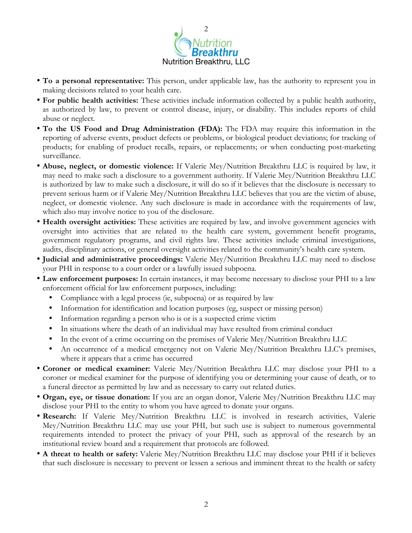

- **To a personal representative:** This person, under applicable law, has the authority to represent you in making decisions related to your health care.
- **For public health activities:** These activities include information collected by a public health authority, as authorized by law, to prevent or control disease, injury, or disability. This includes reports of child abuse or neglect.
- **To the US Food and Drug Administration (FDA):** The FDA may require this information in the reporting of adverse events, product defects or problems, or biological product deviations; for tracking of products; for enabling of product recalls, repairs, or replacements; or when conducting post-marketing surveillance.
- **Abuse, neglect, or domestic violence:** If Valerie Mey/Nutrition Breakthru LLC is required by law, it may need to make such a disclosure to a government authority. If Valerie Mey/Nutrition Breakthru LLC is authorized by law to make such a disclosure, it will do so if it believes that the disclosure is necessary to prevent serious harm or if Valerie Mey/Nutrition Breakthru LLC believes that you are the victim of abuse, neglect, or domestic violence. Any such disclosure is made in accordance with the requirements of law, which also may involve notice to you of the disclosure.
- **Health oversight activities:** These activities are required by law, and involve government agencies with oversight into activities that are related to the health care system, government benefit programs, government regulatory programs, and civil rights law. These activities include criminal investigations, audits, disciplinary actions, or general oversight activities related to the community's health care system.
- **Judicial and administrative proceedings:** Valerie Mey/Nutrition Breakthru LLC may need to disclose your PHI in response to a court order or a lawfully issued subpoena.
- **Law enforcement purposes:** In certain instances, it may become necessary to disclose your PHI to a law enforcement official for law enforcement purposes, including:
	- Compliance with a legal process (ie, subpoena) or as required by law
	- Information for identification and location purposes (eg, suspect or missing person)
	- Information regarding a person who is or is a suspected crime victim
	- In situations where the death of an individual may have resulted from criminal conduct
	- In the event of a crime occurring on the premises of Valerie Mey/Nutrition Breakthru LLC
	- An occurrence of a medical emergency not on Valerie Mey/Nutrition Breakthru LLC's premises, where it appears that a crime has occurred
- **Coroner or medical examiner:** Valerie Mey/Nutrition Breakthru LLC may disclose your PHI to a coroner or medical examiner for the purpose of identifying you or determining your cause of death, or to a funeral director as permitted by law and as necessary to carry out related duties.
- **Organ, eye, or tissue donation:** If you are an organ donor, Valerie Mey/Nutrition Breakthru LLC may disclose your PHI to the entity to whom you have agreed to donate your organs.
- **Research:** If Valerie Mey/Nutrition Breakthru LLC is involved in research activities, Valerie Mey/Nutrition Breakthru LLC may use your PHI, but such use is subject to numerous governmental requirements intended to protect the privacy of your PHI, such as approval of the research by an institutional review board and a requirement that protocols are followed.
- **A threat to health or safety:** Valerie Mey/Nutrition Breakthru LLC may disclose your PHI if it believes that such disclosure is necessary to prevent or lessen a serious and imminent threat to the health or safety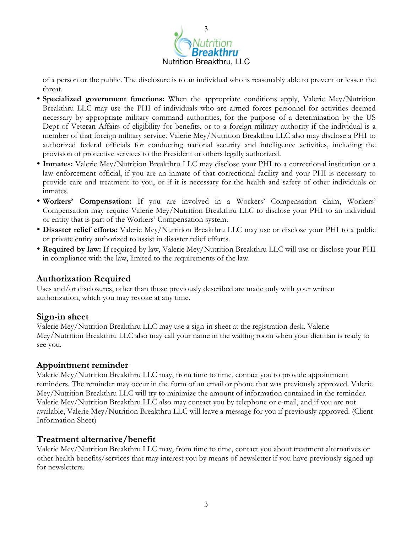

of a person or the public. The disclosure is to an individual who is reasonably able to prevent or lessen the threat.

- **Specialized government functions:** When the appropriate conditions apply, Valerie Mey/Nutrition Breakthru LLC may use the PHI of individuals who are armed forces personnel for activities deemed necessary by appropriate military command authorities, for the purpose of a determination by the US Dept of Veteran Affairs of eligibility for benefits, or to a foreign military authority if the individual is a member of that foreign military service. Valerie Mey/Nutrition Breakthru LLC also may disclose a PHI to authorized federal officials for conducting national security and intelligence activities, including the provision of protective services to the President or others legally authorized.
- **Inmates:** Valerie Mey/Nutrition Breakthru LLC may disclose your PHI to a correctional institution or a law enforcement official, if you are an inmate of that correctional facility and your PHI is necessary to provide care and treatment to you, or if it is necessary for the health and safety of other individuals or inmates.
- **Workers' Compensation:** If you are involved in a Workers' Compensation claim, Workers' Compensation may require Valerie Mey/Nutrition Breakthru LLC to disclose your PHI to an individual or entity that is part of the Workers' Compensation system.
- **Disaster relief efforts:** Valerie Mey/Nutrition Breakthru LLC may use or disclose your PHI to a public or private entity authorized to assist in disaster relief efforts.
- **Required by law:** If required by law, Valerie Mey/Nutrition Breakthru LLC will use or disclose your PHI in compliance with the law, limited to the requirements of the law.

#### **Authorization Required**

Uses and/or disclosures, other than those previously described are made only with your written authorization, which you may revoke at any time.

#### **Sign-in sheet**

Valerie Mey/Nutrition Breakthru LLC may use a sign-in sheet at the registration desk. Valerie Mey/Nutrition Breakthru LLC also may call your name in the waiting room when your dietitian is ready to see you.

#### **Appointment reminder**

Valerie Mey/Nutrition Breakthru LLC may, from time to time, contact you to provide appointment reminders. The reminder may occur in the form of an email or phone that was previously approved. Valerie Mey/Nutrition Breakthru LLC will try to minimize the amount of information contained in the reminder. Valerie Mey/Nutrition Breakthru LLC also may contact you by telephone or e-mail, and if you are not available, Valerie Mey/Nutrition Breakthru LLC will leave a message for you if previously approved. (Client Information Sheet)

#### **Treatment alternative/benefit**

Valerie Mey/Nutrition Breakthru LLC may, from time to time, contact you about treatment alternatives or other health benefits/services that may interest you by means of newsletter if you have previously signed up for newsletters.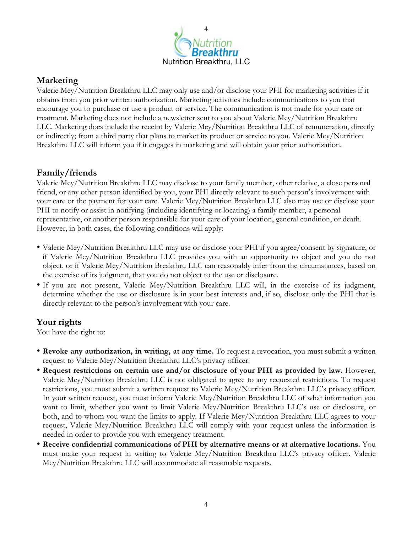

## **Marketing**

Valerie Mey/Nutrition Breakthru LLC may only use and/or disclose your PHI for marketing activities if it obtains from you prior written authorization. Marketing activities include communications to you that encourage you to purchase or use a product or service. The communication is not made for your care or treatment. Marketing does not include a newsletter sent to you about Valerie Mey/Nutrition Breakthru LLC. Marketing does include the receipt by Valerie Mey/Nutrition Breakthru LLC of remuneration, directly or indirectly; from a third party that plans to market its product or service to you. Valerie Mey/Nutrition Breakthru LLC will inform you if it engages in marketing and will obtain your prior authorization.

### **Family/friends**

Valerie Mey/Nutrition Breakthru LLC may disclose to your family member, other relative, a close personal friend, or any other person identified by you, your PHI directly relevant to such person's involvement with your care or the payment for your care. Valerie Mey/Nutrition Breakthru LLC also may use or disclose your PHI to notify or assist in notifying (including identifying or locating) a family member, a personal representative, or another person responsible for your care of your location, general condition, or death. However, in both cases, the following conditions will apply:

- Valerie Mey/Nutrition Breakthru LLC may use or disclose your PHI if you agree/consent by signature, or if Valerie Mey/Nutrition Breakthru LLC provides you with an opportunity to object and you do not object, or if Valerie Mey/Nutrition Breakthru LLC can reasonably infer from the circumstances, based on the exercise of its judgment, that you do not object to the use or disclosure.
- If you are not present, Valerie Mey/Nutrition Breakthru LLC will, in the exercise of its judgment, determine whether the use or disclosure is in your best interests and, if so, disclose only the PHI that is directly relevant to the person's involvement with your care.

#### **Your rights**

You have the right to:

- **Revoke any authorization, in writing, at any time.** To request a revocation, you must submit a written request to Valerie Mey/Nutrition Breakthru LLC's privacy officer.
- **Request restrictions on certain use and/or disclosure of your PHI as provided by law.** However, Valerie Mey/Nutrition Breakthru LLC is not obligated to agree to any requested restrictions. To request restrictions, you must submit a written request to Valerie Mey/Nutrition Breakthru LLC's privacy officer. In your written request, you must inform Valerie Mey/Nutrition Breakthru LLC of what information you want to limit, whether you want to limit Valerie Mey/Nutrition Breakthru LLC's use or disclosure, or both, and to whom you want the limits to apply. If Valerie Mey/Nutrition Breakthru LLC agrees to your request, Valerie Mey/Nutrition Breakthru LLC will comply with your request unless the information is needed in order to provide you with emergency treatment.
- **Receive confidential communications of PHI by alternative means or at alternative locations.** You must make your request in writing to Valerie Mey/Nutrition Breakthru LLC's privacy officer. Valerie Mey/Nutrition Breakthru LLC will accommodate all reasonable requests.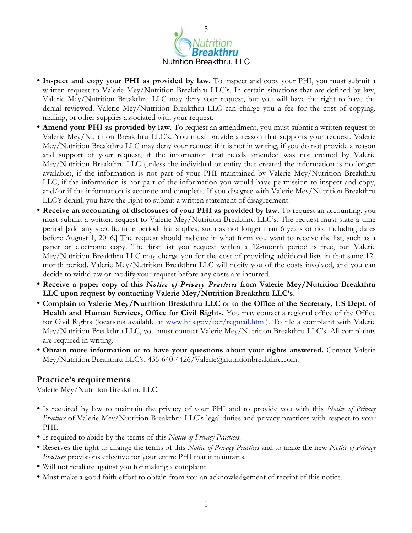

- **Inspect and copy your PHI as provided by law.** To inspect and copy your PHI, you must submit a written request to Valerie Mey/Nutrition Breakthru LLC's. In certain situations that are defined by law, Valerie Mey/Nutrition Breakthru LLC may deny your request, but you will have the right to have the denial reviewed. Valerie Mey/Nutrition Breakthru LLC can charge you a fee for the cost of copying, mailing, or other supplies associated with your request.
- **Amend your PHI as provided by law.** To request an amendment, you must submit a written request to Valerie Mey/Nutrition Breakthru LLC's. You must provide a reason that supports your request. Valerie Mey/Nutrition Breakthru LLC may deny your request if it is not in writing, if you do not provide a reason and support of your request, if the information that needs amended was not created by Valerie Mey/Nutrition Breakthru LLC (unless the individual or entity that created the information is no longer available), if the information is not part of your PHI maintained by Valerie Mey/Nutrition Breakthru LLC, if the information is not part of the information you would have permission to inspect and copy, and/or if the information is accurate and complete. If you disagree with Valerie Mey/Nutrition Breakthru LLC's denial, you have the right to submit a written statement of disagreement.
- **Receive an accounting of disclosures of your PHI as provided by law.** To request an accounting, you must submit a written request to Valerie Mey/Nutrition Breakthru LLC's. The request must state a time period [add any specific time period that applies, such as not longer than 6 years or not including dates before August 1, 2016.] The request should indicate in what form you want to receive the list, such as a paper or electronic copy. The first list you request within a 12-month period is free, but Valerie Mey/Nutrition Breakthru LLC may charge you for the cost of providing additional lists in that same 12 month period. Valerie Mey/Nutrition Breakthru LLC will notify you of the costs involved, and you can decide to withdraw or modify your request before any costs are incurred.
- **Receive a paper copy of this** *Notice of Privacy Practices* **from Valerie Mey/Nutrition Breakthru LLC upon request by contacting Valerie Mey/Nutrition Breakthru LLC's.**
- **Complain to Valerie Mey/Nutrition Breakthru LLC or to the Office of the Secretary, US Dept. of Health and Human Services, Office for Civil Rights.** You may contact a regional office of the Office for Civil Rights (locations available at [www.hhs.gov/ocr/regmail.html](http://www.hhs.gov/ocr/regmail.html)). To file a complaint with Valerie Mey/Nutrition Breakthru LLC, you must contact Valerie Mey/Nutrition Breakthru LLC's. All complaints are required in writing.
- **Obtain more information or to have your questions about your rights answered.** Contact Valerie Mey/Nutrition Breakthru LLC's, 435-640-4426/Valerie@nutritionbreakthru.com.

#### **Practice's requirements**

Valerie Mey/Nutrition Breakthru LLC:

- Is required by law to maintain the privacy of your PHI and to provide you with this *Notice of Privacy Practices* of Valerie Mey/Nutrition Breakthru LLC's legal duties and privacy practices with respect to your PHI.
- Is required to abide by the terms of this *Notice of Privacy Practices*.
- Reserves the right to change the terms of this *Notice of Privacy Practices* and to make the new *Notice of Privacy Practices* provisions effective for your entire PHI that it maintains.
- Will not retaliate against you for making a complaint.
- Must make a good faith effort to obtain from you an acknowledgement of receipt of this notice.